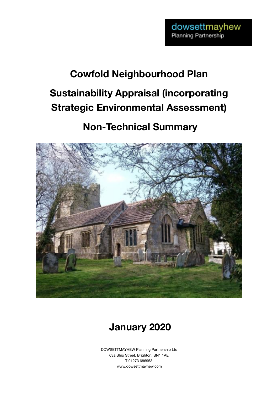# **Cowfold Neighbourhood Plan Sustainability Appraisal (incorporating Strategic Environmental Assessment)**

## **Non-Technical Summary**





DOWSETTMAYHEW Planning Partnership Ltd 63a Ship Street, Brighton, BN1 1AE T 01273 686953 www.dowsettmayhew.com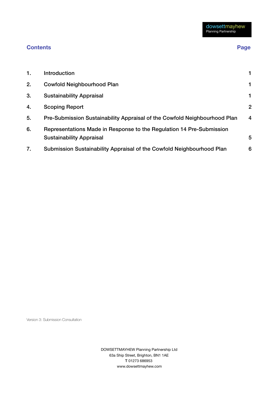### **Contents Contents Contents Page**

| 1. | Introduction                                                                                            |                |
|----|---------------------------------------------------------------------------------------------------------|----------------|
| 2. | <b>Cowfold Neighbourhood Plan</b>                                                                       |                |
| 3. | <b>Sustainability Appraisal</b>                                                                         |                |
| 4. | <b>Scoping Report</b>                                                                                   | $\overline{2}$ |
| 5. | Pre-Submission Sustainability Appraisal of the Cowfold Neighbourhood Plan                               | 4              |
| 6. | Representations Made in Response to the Regulation 14 Pre-Submission<br><b>Sustainability Appraisal</b> | 5              |
| 7. | Submission Sustainability Appraisal of the Cowfold Neighbourhood Plan                                   | 6              |

Version 3: Submission Consultation

DOWSETTMAYHEW Planning Partnership Ltd 63a Ship Street, Brighton, BN1 1AE T 01273 686953 www.dowsettmayhew.com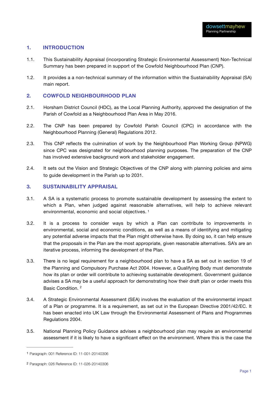#### <span id="page-2-0"></span>**1. INTRODUCTION**

- 1.1. This Sustainability Appraisal (incorporating Strategic Environmental Assessment) Non-Technical Summary has been prepared in support of the Cowfold Neighbourhood Plan (CNP).
- 1.2. It provides a a non-technical summary of the information within the Sustainability Appraisal (SA) main report.

#### <span id="page-2-1"></span>**2. COWFOLD NEIGHBOURHOOD PLAN**

- 2.1. Horsham District Council (HDC), as the Local Planning Authority, approved the designation of the Parish of Cowfold as a Neighbourhood Plan Area in May 2016.
- 2.2. The CNP has been prepared by Cowfold Parish Council (CPC) in accordance with the Neighbourhood Planning (General) Regulations 2012.
- 2.3. This CNP reflects the culmination of work by the Neighbourhood Plan Working Group (NPWG) since CPC was designated for neighbourhood planning purposes. The preparation of the CNP has involved extensive background work and stakeholder engagement.
- 2.4. It sets out the Vision and Strategic Objectives of the CNP along with planning policies and aims to guide development in the Parish up to 2031.

#### <span id="page-2-2"></span>**3. SUSTAINABILITY APPRAISAL**

- 3.1. A SA is a systematic process to promote sustainable development by assessing the extent to which a Plan, when judged against reasonable alternatives, will help to achieve relevant environmental, economic and social objectives. [1](#page-2-3)
- <span id="page-2-5"></span>3.2. It is a process to consider ways by which a Plan can contribute to improvements in environmental, social and economic conditions, as well as a means of identifying and mitigating any potential adverse impacts that the Plan might otherwise have. By doing so, it can help ensure that the proposals in the Plan are the most appropriate, given reasonable alternatives. SA's are an iterative process, informing the development of the Plan.
- 3.3. There is no legal requirement for a [neighbourhood plan](https://www.gov.uk/guidance/neighbourhood-planning--2) to have a SA as set out in [section 19 of](http://www.legislation.gov.uk/ukpga/2004/5/section/19) [the Planning and Compulsory Purchase Act 2004](http://www.legislation.gov.uk/ukpga/2004/5/section/19). However, a Qualifying Body must demonstrate how its plan or order will contribute to achieving sustainable development. Government guidance advises a SA may be a useful approach for demonstrating how their draft plan or order meets this Basic Condition. [2](#page-2-4)
- <span id="page-2-6"></span>3.4. A Strategic Environmental Assessment (SEA) involves the evaluation of the environmental impact of a Plan or programme. It is a requirement, as set out in the European Directive 2001/42/EC. It has been enacted into UK Law through the Environmental Assessment of Plans and Programmes Regulations 2004.
- 3.5. National Planning Policy Guidance advises a neighbourhood plan may require an environmental assessment if it is likely to have a significant effect on the environment. Where this is the case the

<span id="page-2-3"></span>[<sup>1</sup>](#page-2-5) Paragraph: 001 Reference ID: 11-001-20140306

<span id="page-2-4"></span>[<sup>2</sup>](#page-2-6) Paragraph: 026 Reference ID: 11-026-20140306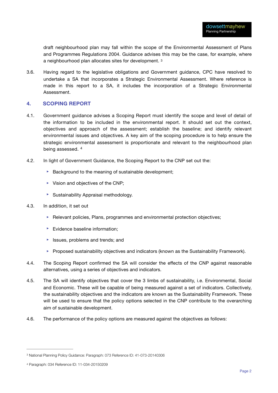<span id="page-3-3"></span>draft neighbourhood plan may fall within the scope of the Environmental Assessment of Plans and Programmes Regulations 2004. Guidance advises this may be the case, for example, where a neighbourhood plan allocates sites for development. [3](#page-3-1)

3.6. Having regard to the legislative obligations and Government guidance, CPC have resolved to undertake a SA that incorporates a Strategic Environmental Assessment. Where reference is made in this report to a SA, it includes the incorporation of a Strategic Environmental Assessment.

#### <span id="page-3-0"></span>**4. SCOPING REPORT**

- 4.1. Government guidance advises a Scoping Report must identify the scope and level of detail of the information to be included in the environmental report. It should set out the context, objectives and approach of the assessment; establish the baseline; and identify relevant environmental issues and objectives. A key aim of the scoping procedure is to help ensure the strategic environmental assessment is proportionate and relevant to the [neighbourhood plan](https://www.gov.uk/guidance/neighbourhood-planning--2) being assessed. [4](#page-3-2)
- <span id="page-3-4"></span>4.2. In light of Government Guidance, the Scoping Report to the CNP set out the:
	- ▶ Background to the meaning of sustainable development;
	- $\triangleright$  Vision and objectives of the CNP;
	- ‣ Sustainability Appraisal methodology.
- 4.3. In addition, it set out
	- ► Relevant policies, Plans, programmes and environmental protection objectives;
	- ▶ Evidence baseline information:
	- ‣ Issues, problems and trends; and
	- ► Proposed sustainability objectives and indicators (known as the Sustainability Framework).
- 4.4. The Scoping Report confirmed the SA will consider the effects of the CNP against reasonable alternatives, using a series of objectives and indicators.
- 4.5. The SA will identify objectives that cover the 3 limbs of sustainability, i.e. Environmental, Social and Economic. These will be capable of being measured against a set of indicators. Collectively, the sustainability objectives and the indicators are known as the Sustainability Framework. These will be used to ensure that the policy options selected in the CNP contribute to the overarching aim of sustainable development.
- 4.6. The performance of the policy options are measured against the objectives as follows:

<span id="page-3-1"></span>[<sup>3</sup>](#page-3-3) National Planning Policy Guidance: Paragraph: 073 Reference ID: 41-073-20140306

<span id="page-3-2"></span>[<sup>4</sup>](#page-3-4) Paragraph: 034 Reference ID: 11-034-20150209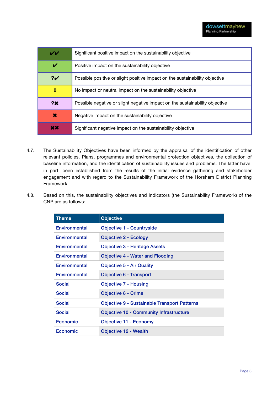| VV             | Significant positive impact on the sustainability objective                 |
|----------------|-----------------------------------------------------------------------------|
| V              | Positive impact on the sustainability objective                             |
| 2 <sub>Y</sub> | Possible positive or slight positive impact on the sustainability objective |
| 0              | No impact or neutral impact on the sustainability objective                 |
| 2x             | Possible negative or slight negative impact on the sustainability objective |
| ×              | Negative impact on the sustainability objective                             |
| XX             | Significant negative impact on the sustainability objective                 |

- 4.7. The Sustainability Objectives have been informed by the appraisal of the identification of other relevant policies, Plans, programmes and environmental protection objectives, the collection of baseline information, and the identification of sustainability issues and problems. The latter have, in part, been established from the results of the initial evidence gathering and stakeholder engagement and with regard to the Sustainability Framework of the Horsham District Planning Framework.
- 4.8. Based on this, the sustainability objectives and indicators (the Sustainability Framework) of the CNP are as follows:

| <b>Theme</b>    | <b>Objective</b>                                    |
|-----------------|-----------------------------------------------------|
| Environmental   | <b>Objective 1 - Countryside</b>                    |
| Environmental   | <b>Objective 2 - Ecology</b>                        |
| Environmental   | <b>Objective 3 - Heritage Assets</b>                |
| Environmental   | <b>Objective 4 - Water and Flooding</b>             |
| Environmental   | <b>Objective 5 - Air Quality</b>                    |
| Environmental   | <b>Objective 6 - Transport</b>                      |
| <b>Social</b>   | <b>Objective 7 - Housing</b>                        |
| <b>Social</b>   | <b>Objective 8 - Crime</b>                          |
| <b>Social</b>   | <b>Objective 9 - Sustainable Transport Patterns</b> |
| <b>Social</b>   | <b>Objective 10 - Community Infrastructure</b>      |
| <b>Economic</b> | <b>Objective 11 - Economy</b>                       |
| Economic        | <b>Objective 12 - Wealth</b>                        |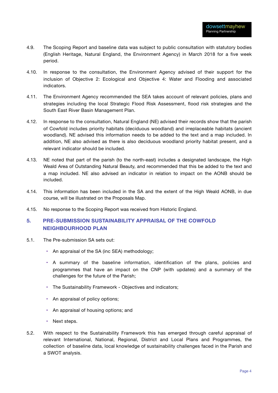- 4.9. The Scoping Report and baseline data was subject to public consultation with statutory bodies (English Heritage, Natural England, the Environment Agency) in March 2018 for a five week period.
- 4.10. In response to the consultation, the Environment Agency advised of their support for the inclusion of Objective 2: Ecological and Objective 4: Water and Flooding and associated indicators.
- 4.11. The Environment Agency recommended the SEA takes account of relevant policies, plans and strategies including the local Strategic Flood Risk Assessment, flood risk strategies and the South East River Basin Management Plan.
- 4.12. In response to the consultation, Natural England (NE) advised their records show that the parish of Cowfold includes priority habitats (deciduous woodland) and irreplaceable habitats (ancient woodland). NE advised this information needs to be added to the text and a map included. In addition, NE also advised as there is also deciduous woodland priority habitat present, and a relevant indicator should be included.
- 4.13. NE noted that part of the parish (to the north-east) includes a designated landscape, the High Weald Area of Outstanding Natural Beauty, and recommended that this be added to the text and a map included. NE also advised an indicator in relation to impact on the AONB should be included.
- 4.14. This information has been included in the SA and the extent of the High Weald AONB, in due course, will be illustrated on the Proposals Map.
- 4.15. No response to the Scoping Report was received from Historic England.

### <span id="page-5-0"></span>**5. PRE-SUBMISSION SUSTAINABILITY APPRAISAL OF THE COWFOLD NEIGHBOURHOOD PLAN**

- 5.1. The Pre-submission SA sets out:
	- An appraisal of the SA (inc SEA) methodology;
	- A summary of the baseline information, identification of the plans, policies and programmes that have an impact on the CNP (with updates) and a summary of the challenges for the future of the Parish;
	- The Sustainability Framework Objectives and indicators;
	- An appraisal of policy options;
	- An appraisal of housing options; and
	- Next steps.
- 5.2. With respect to the Sustainability Framework this has emerged through careful appraisal of relevant International, National, Regional, District and Local Plans and Programmes, the collection of baseline data, local knowledge of sustainability challenges faced in the Parish and a SWOT analysis.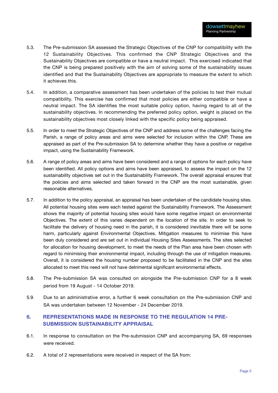- 5.3. The Pre-submission SA assessed the Strategic Objectives of the CNP for compatibility with the 12 Sustainability Objectives. This confirmed the CNP Strategic Objectives and the Sustainability Objectives are compatible or have a neutral impact. This exercised indicated that the CNP is being prepared positively with the aim of solving some of the sustainability issues identified and that the Sustainability Objectives are appropriate to measure the extent to which it achieves this.
- 5.4. In addition, a comparative assessment has been undertaken of the policies to test their mutual compatibility. This exercise has confirmed that most policies are either compatible or have a neutral impact. The SA identifies the most suitable policy option, having regard to all of the sustainability objectives. In recommending the preferred policy option, weight is placed on the sustainability objectives most closely linked with the specific policy being appraised.
- 5.5. In order to meet the Strategic Objectives of the CNP and address some of the challenges facing the Parish, a range of policy areas and aims were selected for inclusion within the CNP. These are appraised as part of the Pre-submission SA to determine whether they have a positive or negative impact, using the Sustainability Framework.
- 5.6. A range of policy areas and aims have been considered and a range of options for each policy have been identified. All policy options and aims have been appraised, to assess the impact on the 12 sustainability objectives set out in the Sustainability Framework. The overall appraisal ensures that the policies and aims selected and taken forward in the CNP are the most sustainable, given reasonable alternatives.
- 5.7. In addition to the policy appraisal, an appraisal has been undertaken of the candidate housing sites. All potential housing sites were each tested against the Sustainability Framework. The Assessment shows the majority of potential housing sites would have some negative impact on environmental Objectives. The extent of this varies dependent on the location of the site. In order to seek to facilitate the delivery of housing need in the parish, it is considered inevitable there will be some harm, particularly against Environmental Objectives. Mitigation measures to minimise this have been duly considered and are set out in individual Housing Sites Assessments. The sites selected for allocation for housing development, to meet the needs of the Plan area have been chosen with regard to minimising their environmental impact, including through the use of mitigation measures. Overall, it is considered the housing number proposed to be facilitated in the CNP and the sites allocated to meet this need will not have detrimental significant environmental effects.
- 5.8. The Pre-submission SA was consulted on alongside the Pre-submission CNP for a 8 week period from 19 August - 14 October 2019.
- 5.9. Due to an administrative error, a further 6 week consultation on the Pre-submission CNP and SA was undertaken between 12 November - 24 December 2019.

### <span id="page-6-0"></span>**6. REPRESENTATIONS MADE IN RESPONSE TO THE REGULATION 14 PRE-SUBMISSION SUSTAINABILITY APPRAISAL**

- 6.1. In response to consultation on the Pre-submission CNP and accompanying SA, 69 responses were received.
- 6.2. A total of 2 representations were received in respect of the SA from: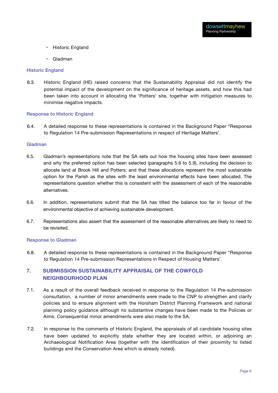- Historic England
- Gladman

#### Historic England

6.3. Historic England (HE) raised concerns that the Sustainability Appraisal did not identify the potential impact of the development on the significance of heritage assets, and how this had been taken into account in allocating the 'Potters' site, together with mitigation measures to minimise negative impacts.

#### Response to Historic England

6.4. A detailed response to these representations is contained in the Background Paper "Response to Regulation 14 Pre-submission Representations in respect of Heritage Matters'.

#### Gladman

- 6.5. Gladman's representations note that the SA sets out how the housing sites have been assessed and why the preferred option has been selected (paragraphs 5.6 to 5.9), including the decision to allocate land at Brook Hill and Potters; and that these allocations represent the most sustainable option for the Parish as the sites with the least environmental effects have been allocated. The representations question whether this is consistent with the assessment of each of the reasonable alternatives.
- 6.6. In addition, representations submit that the SA has tilted the balance too far in favour of the environmental objective of achieving sustainable development.
- 6.7. Representations also assert that the assessment of the reasonable alternatives are likely to need to be revisited.

#### Response to Gladman

6.8. A detailed response to these representations is contained in the Background Paper "Response to Regulation 14 Pre-submission Representations in Respect of Housing Matters'.

#### <span id="page-7-0"></span>**7. SUBMISSION SUSTAINABILITY APPRAISAL OF THE COWFOLD NEIGHBOURHOOD PLAN**

- 7.1. As a result of the overall feedback received in response to the Regulation 14 Pre-submission consultation, a number of minor amendments were made to the CNP to strengthen and clarify policies and to ensure alignment with the Horsham District Planning Framework and national planning policy guidance although no substantive changes have been made to the Policies or Aims. Consequential minor amendments were also made to the SA.
- 7.2. In response to the comments of Historic England, the appraisals of all candidate housing sites have been updated to explicitly state whether they are located within, or adjoining an Archaeological Notification Area (together with the identification of their proximity to listed buildings and the Conservation Area which is already noted).